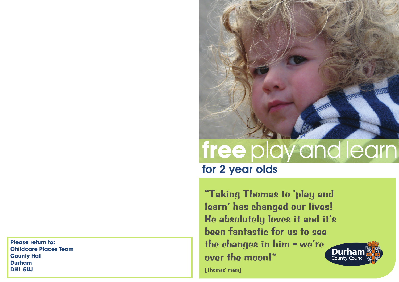**Please return to: Childcare Places Team County Hall Durham DH1 5UJ**



# **free** play and learn

for 2 year olds

**"Taking Thomas to 'play and learn' has changed our lives! He absolutely loves it and it's been fantastic for us to see the changes in him - we're over the moon!"**

**Durhar** County Counc

[Thomas' mam]